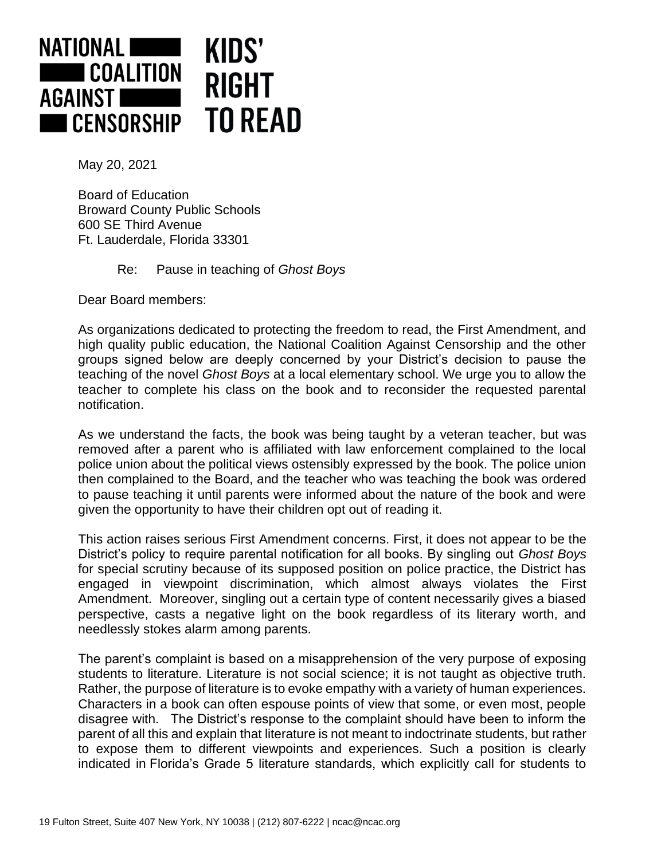

May 20, 2021

Board of Education Broward County Public Schools 600 SE Third Avenue Ft. Lauderdale, Florida 33301

Re: Pause in teaching of *Ghost Boys*

Dear Board members:

As organizations dedicated to protecting the freedom to read, the First Amendment, and high quality public education, the National Coalition Against Censorship and the other groups signed below are deeply concerned by your District's decision to pause the teaching of the novel *Ghost Boys* at a local elementary school. We urge you to allow the teacher to complete his class on the book and to reconsider the requested parental notification.

As we understand the facts, the book was being taught by a veteran teacher, but was removed after a parent who is affiliated with law enforcement complained to the local police union about the political views ostensibly expressed by the book. The police union then complained to the Board, and the teacher who was teaching the book was ordered to pause teaching it until parents were informed about the nature of the book and were given the opportunity to have their children opt out of reading it.

This action raises serious First Amendment concerns. First, it does not appear to be the District's policy to require parental notification for all books. By singling out *Ghost Boys* for special scrutiny because of its supposed position on police practice, the District has engaged in viewpoint discrimination, which almost always violates the First Amendment. Moreover, singling out a certain type of content necessarily gives a biased perspective, casts a negative light on the book regardless of its literary worth, and needlessly stokes alarm among parents.

The parent's complaint is based on a misapprehension of the very purpose of exposing students to literature. Literature is not social science; it is not taught as objective truth. Rather, the purpose of literature is to evoke empathy with a variety of human experiences. Characters in a book can often espouse points of view that some, or even most, people disagree with. The District's response to the complaint should have been to inform the parent of all this and explain that literature is not meant to indoctrinate students, but rather to expose them to different viewpoints and experiences. Such a position is clearly indicated in Florida's Grade 5 literature standards, which explicitly call for students to